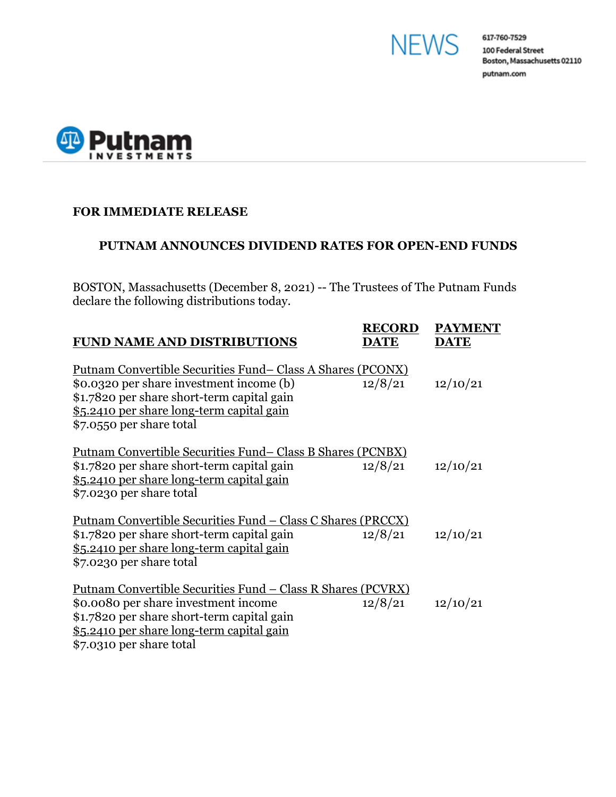



## **FOR IMMEDIATE RELEASE**

## **PUTNAM ANNOUNCES DIVIDEND RATES FOR OPEN-END FUNDS**

BOSTON, Massachusetts (December 8, 2021) -- The Trustees of The Putnam Funds declare the following distributions today.

| <b>FUND NAME AND DISTRIBUTIONS</b>                                                                                                                                                                                                  | <b>RECORD</b><br><b>DATE</b> | <b>PAYMENT</b><br><b>DATE</b> |
|-------------------------------------------------------------------------------------------------------------------------------------------------------------------------------------------------------------------------------------|------------------------------|-------------------------------|
| <u>Putnam Convertible Securities Fund–Class A Shares (PCONX)</u><br>\$0.0320 per share investment income (b)<br>\$1.7820 per share short-term capital gain<br>\$5.2410 per share long-term capital gain<br>\$7.0550 per share total | 12/8/21                      | 12/10/21                      |
| Putnam Convertible Securities Fund– Class B Shares (PCNBX)<br>\$1.7820 per share short-term capital gain<br>\$5.2410 per share long-term capital gain<br>\$7.0230 per share total                                                   | 12/8/21                      | 12/10/21                      |
| <u> Putnam Convertible Securities Fund – Class C Shares (PRCCX)</u><br>\$1.7820 per share short-term capital gain<br>\$5.2410 per share long-term capital gain<br>\$7.0230 per share total                                          | 12/8/21                      | 12/10/21                      |
| Putnam Convertible Securities Fund – Class R Shares (PCVRX)<br>\$0.0080 per share investment income<br>\$1.7820 per share short-term capital gain<br>\$5.2410 per share long-term capital gain<br>\$7.0310 per share total          | 12/8/21                      | 12/10/21                      |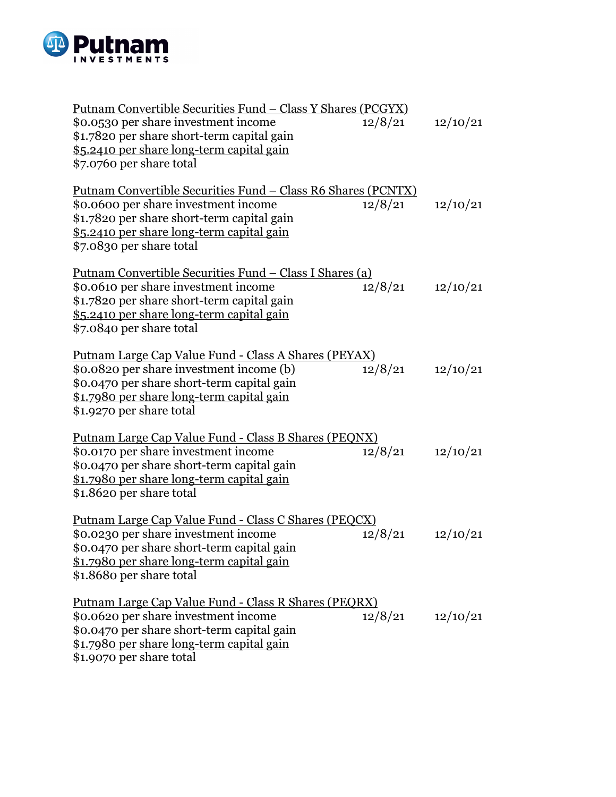

| <u> Putnam Convertible Securities Fund – Class Y Shares (PCGYX)</u><br>\$0.0530 per share investment income<br>\$1.7820 per share short-term capital gain<br>\$5.2410 per share long-term capital gain<br>\$7.0760 per share total     | 12/8/21 | 12/10/21 |
|----------------------------------------------------------------------------------------------------------------------------------------------------------------------------------------------------------------------------------------|---------|----------|
| <u> Putnam Convertible Securities Fund – Class R6 Shares (PCNTX)</u><br>\$0.0600 per share investment income<br>\$1.7820 per share short-term capital gain<br>\$5.2410 per share long-term capital gain<br>\$7.0830 per share total    | 12/8/21 | 12/10/21 |
| <u> Putnam Convertible Securities Fund – Class I Shares (a)</u><br>\$0.0610 per share investment income<br>\$1.7820 per share short-term capital gain<br>\$5.2410 per share long-term capital gain<br>\$7.0840 per share total         | 12/8/21 | 12/10/21 |
| <u> Putnam Large Cap Value Fund - Class A Shares (PEYAX)</u><br>\$0.0820 per share investment income (b)<br>\$0.0470 per share short-term capital gain<br><u>\$1.7980 per share long-term capital gain</u><br>\$1.9270 per share total | 12/8/21 | 12/10/21 |
| <u> Putnam Large Cap Value Fund - Class B Shares (PEQNX)</u><br>\$0.0170 per share investment income<br>\$0.0470 per share short-term capital gain<br><u>\$1.7980 per share long-term capital gain</u><br>\$1.8620 per share total     | 12/8/21 | 12/10/21 |
| Putnam Large Cap Value Fund - Class C Shares (PEQCX)<br>\$0.0230 per share investment income<br>\$0.0470 per share short-term capital gain<br>\$1.7980 per share long-term capital gain<br>\$1.8680 per share total                    | 12/8/21 | 12/10/21 |
| <u> Putnam Large Cap Value Fund - Class R Shares (PEQRX)</u><br>\$0.0620 per share investment income<br>\$0.0470 per share short-term capital gain<br>\$1.7980 per share long-term capital gain<br>\$1.9070 per share total            | 12/8/21 | 12/10/21 |